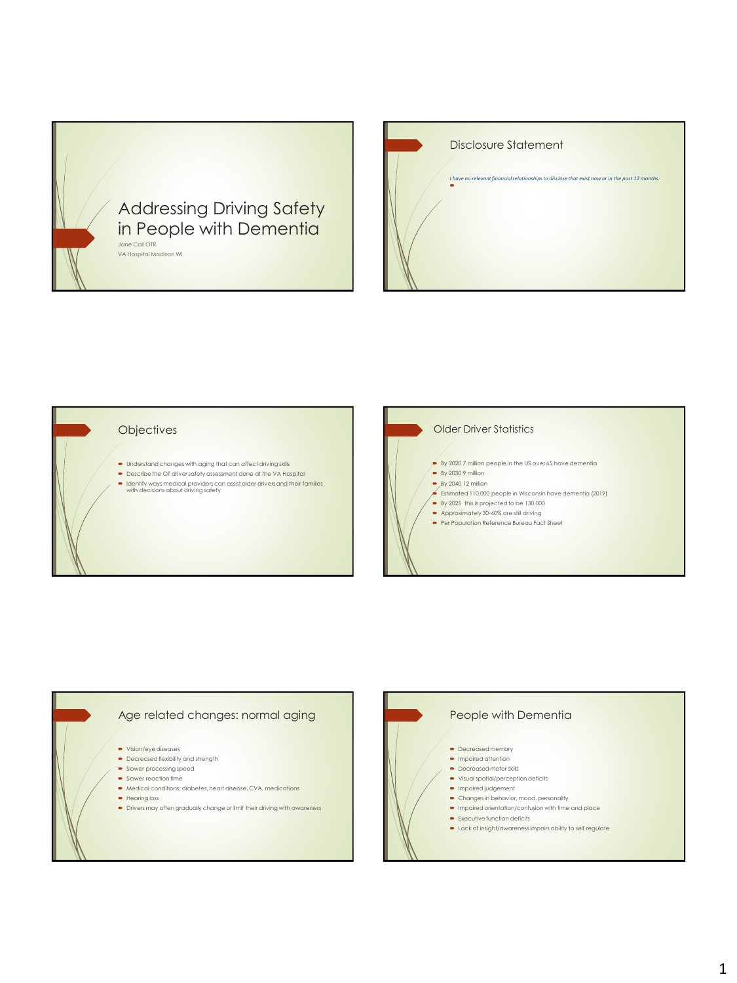

| <b>Disclosure Statement</b>                                                                     |
|-------------------------------------------------------------------------------------------------|
| I have no relevant financial relationships to disclose that exist now or in the past 12 months. |

## **Objectives**

- $\bullet$  Understand changes with aging that can affect driving skills
- Describe the OT driver safety assessment done at the VA Hospital
- Identify ways medical providers can assist older drivers and their families with decisions about driving safety



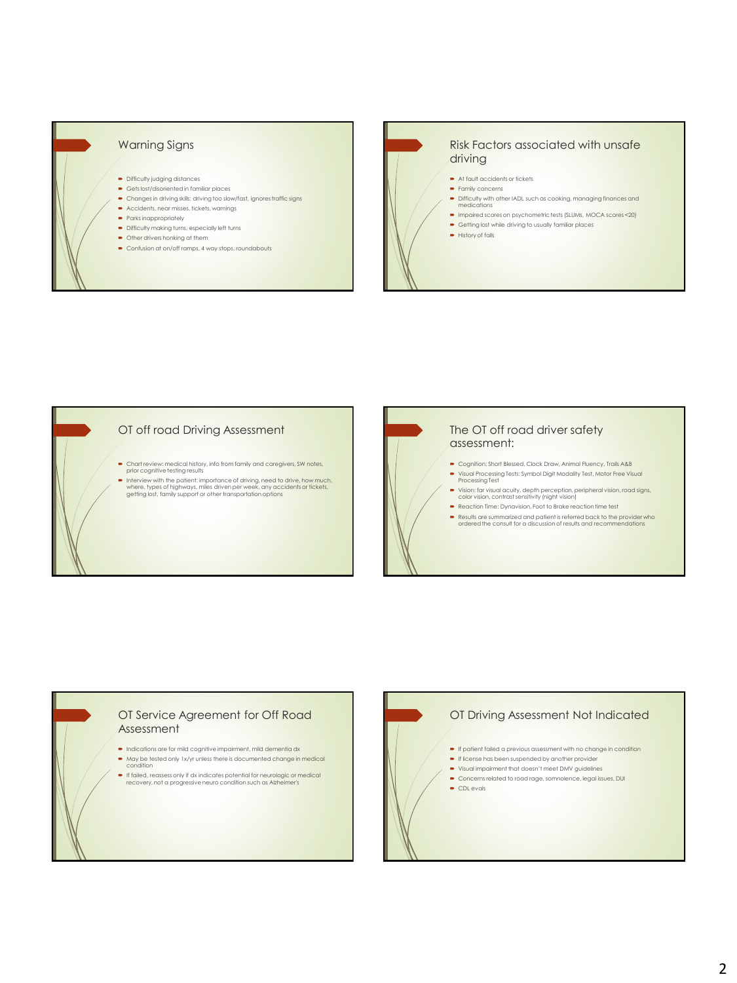

## Risk Factors associated with unsafe driving

- At fault accidents or tickets
- **Family concerns**
- Difficulty with other IADL such as cooking, managing finances and medications
- Impaired scores on psychometric tests (SLUMs, MOCA scores <20)
- $\bullet$  Getting lost while driving to usually familiar places
- $\rightarrow$  History of falls

## OT off road Driving Assessment

- Chart review: medical history, info from family and caregivers, SW notes, prior cognitive testing results
- Interview with the patient: importance of driving, need to drive, how much, where, types of highways, miles driven per week, any accidents or tickets, getting lost, family support or other transportation options

## The OT off road driver safety assessment: Cognition: Short Blessed, Clock Draw, Animal Fluency, Trails A&B Visual Processing Tests: Symbol Digit Modality Test, Motor Free Visual Processing Test Vision: far visual acuity, depth perception, peripheral vision, road signs, color vision, contrast sensitivity (night vision) Reaction Time: Dynavision, Foot to Brake reaction time test

Results are summarized and patient is referred back to the provider who ordered the consult for a discussion of results and recommendations

## OT Service Agreement for Off Road Assessment

- $\blacksquare$  Indications are for mild cognitive impairment, mild dementia dx May be tested only 1x/yr unless there is documented change in medical
- condition If failed, reassess only if dx indicates potential for neurologic or medical recovery, not a progressive neuro condition such as Alzheimer's
- OT Driving Assessment Not Indicated  $\bullet$  If patient failed a previous assessment with no change in condition **If license has been suspended by another provider**  Visual impairment that doesn't meet DMV guidelines Concerns related to road rage, somnolence, legal issues, DUI **CDL** evals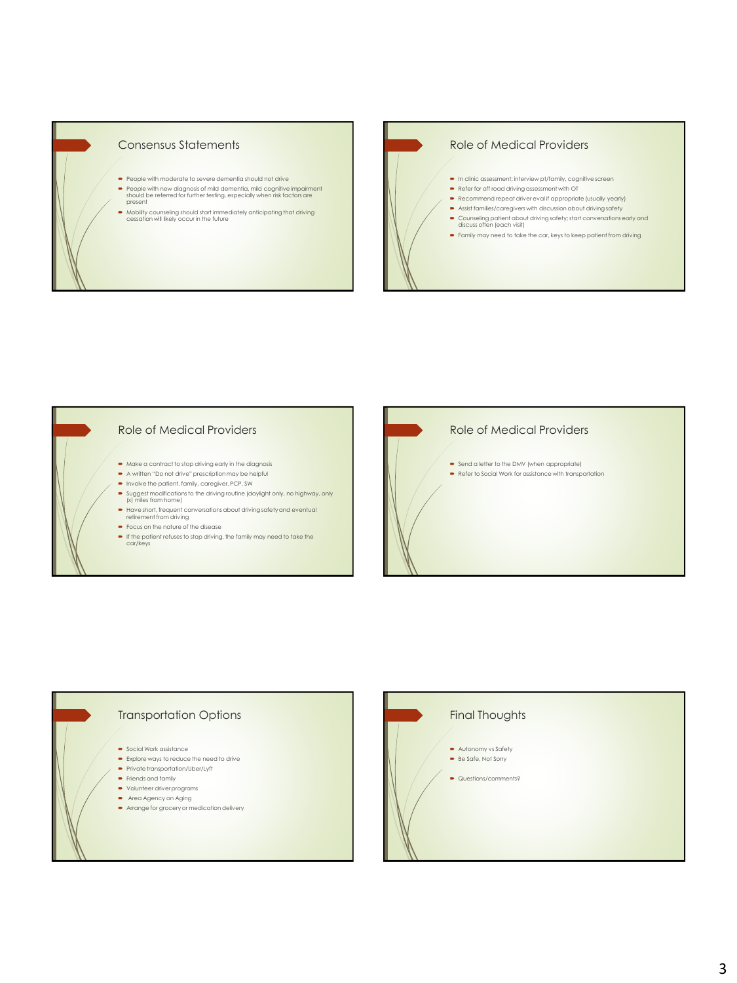

## Consensus Statements

- People with moderate to severe dementia should not drive
- People with new diagnosis of mild dementia, mild cognitive impairment should be referred for further testing, especially when risk factors are present
- Mobility counseling should start immediately anticipating that driving cessation will likely occur in the future

## Role of Medical Providers

- In clinic assessment: interview pt/family, cognitive screen
- Refer for off road driving assessment with OT
- Recommend repeat driver eval if appropriate (usually yearly)
- $\;\blacktriangleright\;$  Assist families/caregivers with discussion about driving safety
- Counseling patient about driving safety; start conversations early and discuss often (each visit)
- Family may need to take the car, keys to keep patient from driving

#### Role of Medical Providers

- $\bullet$  Make a contract to stop driving early in the diagnosis
- A written "Do not drive" prescription may be helpful
- Involve the patient, family, caregiver, PCP, SW
- Suggest modifications to the driving routine (daylight only, no highway, only (x) miles from home)
- Have short, frequent conversations about driving safety and eventual retirement from driving Focus on the nature of the disease
- If the patient refuses to stop driving, the family may need to take the car/keys



## Transportation Options

- **Social Work assistance**
- Explore ways to reduce the need to drive
- Private transportation/Uber/Lyft  $\bullet$  Friends and family
- Volunteer driver programs
- Area Agency on Aging
- Arrange for grocery or medication delivery